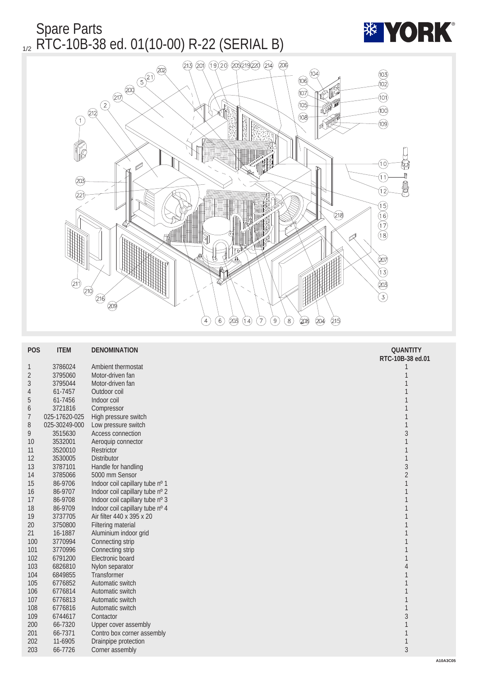

| <b>POS</b>       | <b>ITEM</b>   | <b>DENOMINATION</b>             | <b>QUANTITY</b><br>RTC-10B-38 ed.01 |
|------------------|---------------|---------------------------------|-------------------------------------|
| $\mathbf{1}$     | 3786024       | Ambient thermostat              | 1                                   |
| $\boldsymbol{2}$ | 3795060       | Motor-driven fan                | 1                                   |
| $\boldsymbol{3}$ | 3795044       | Motor-driven fan                | 1                                   |
| 4                | 61-7457       | Outdoor coil                    |                                     |
| $\sqrt{5}$       | 61-7456       | Indoor coil                     |                                     |
| 6                | 3721816       | Compressor                      |                                     |
| 7                | 025-17620-025 | High pressure switch            | 1                                   |
| 8                | 025-30249-000 | Low pressure switch             |                                     |
| 9                | 3515630       | <b>Access connection</b>        | $\sqrt{3}$                          |
| <b>10</b>        | 3532001       | Aeroquip connector              | $\mathbf{1}$                        |
| 11               | 3520010       | <b>Restrictor</b>               | 1                                   |
| 12               | 3530005       | Distributor                     | $\mathbf{1}$                        |
| 13               | 3787101       | Handle for handling             | $\overline{3}$                      |
| 14               | 3785066       | 5000 mm Sensor                  | $\sqrt{2}$                          |
| 15               | 86-9706       | Indoor coil capillary tube nº 1 | $\mathbf{1}$                        |
| 16               | 86-9707       | Indoor coil capillary tube nº 2 | $\mathbf{1}$                        |
| 17               | 86-9708       | Indoor coil capillary tube nº 3 | $\mathbf{1}$                        |
| 18               | 86-9709       | Indoor coil capillary tube nº 4 | 1                                   |
| 19               | 3737705       | Air filter 440 x 395 x 20       | $\mathbf{1}$                        |
| 20               | 3750800       | <b>Filtering material</b>       | 1                                   |
| 21               | 16-1887       | Aluminium indoor grid           | 1                                   |
| 100              | 3770994       | Connecting strip                | 1                                   |
| 101              | 3770996       | Connecting strip                |                                     |
| 102              | 6791200       | Electronic board                |                                     |
| 103              | 6826810       | Nylon separator                 | $\overline{4}$                      |
| 104              | 6849855       | <b>Transformer</b>              | $\mathbf{1}$                        |
| 105              | 6776852       | Automatic switch                | $\mathbf{1}$                        |
| 106              | 6776814       | Automatic switch                | $\mathbf{1}$                        |
| 107              | 6776813       | Automatic switch                | $\mathbf{1}$                        |
| 108              | 6776816       | Automatic switch                | $\mathbf{1}$                        |
| 109              | 6744617       | Contactor                       | $\sqrt{3}$                          |
| 200              | 66-7320       | <b>Upper cover assembly</b>     | $\mathbf{1}$                        |
| 201              | 66-7371       | Contro box corner assembly      | 1                                   |
| 202              | 11-6905       | Drainpipe protection            | $\mathbf{1}$                        |
| 203              | 66-7726       | Corner assembly                 | $\overline{3}$                      |
|                  |               |                                 | A <sub>1</sub>                      |